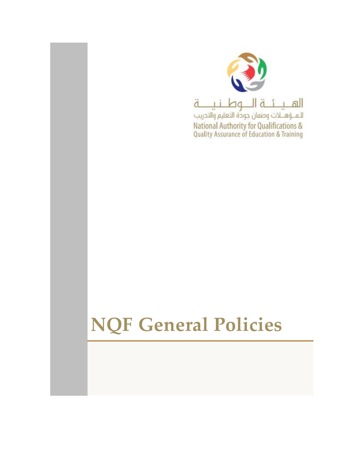

# **NQF General Policies**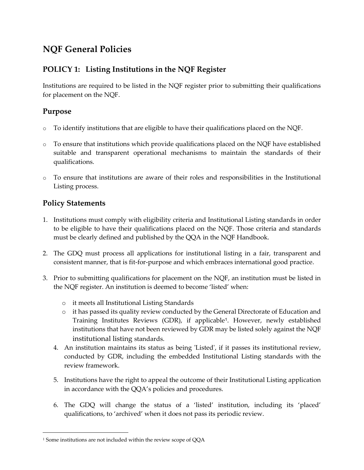# **NQF General Policies**

## **POLICY 1: Listing Institutions in the NQF Register**

Institutions are required to be listed in the NQF register prior to submitting their qualifications for placement on the NQF.

## **Purpose**

- $\circ$  To identify institutions that are eligible to have their qualifications placed on the NQF.
- $\circ$  To ensure that institutions which provide qualifications placed on the NQF have established suitable and transparent operational mechanisms to maintain the standards of their qualifications.
- o To ensure that institutions are aware of their roles and responsibilities in the Institutional Listing process.

## **Policy Statements**

 $\overline{a}$ 

- 1. Institutions must comply with eligibility criteria and Institutional Listing standards in order to be eligible to have their qualifications placed on the NQF. Those criteria and standards must be clearly defined and published by the QQA in the NQF Handbook.
- 2. The GDQ must process all applications for institutional listing in a fair, transparent and consistent manner, that is fit-for-purpose and which embraces international good practice.
- 3. Prior to submitting qualifications for placement on the NQF, an institution must be listed in the NQF register. An institution is deemed to become 'listed' when:
	- o it meets all Institutional Listing Standards
	- o it has passed its quality review conducted by the General Directorate of Education and Training Institutes Reviews (GDR), if applicable<sup>1</sup> . However, newly established institutions that have not been reviewed by GDR may be listed solely against the NQF institutional listing standards.
	- 4. An institution maintains its status as being 'Listed', if it passes its institutional review, conducted by GDR, including the embedded Institutional Listing standards with the review framework.
	- 5. Institutions have the right to appeal the outcome of their Institutional Listing application in accordance with the QQA's policies and procedures.
	- 6. The GDQ will change the status of a 'listed' institution, including its 'placed' qualifications, to 'archived' when it does not pass its periodic review.

<sup>1</sup> Some institutions are not included within the review scope of QQA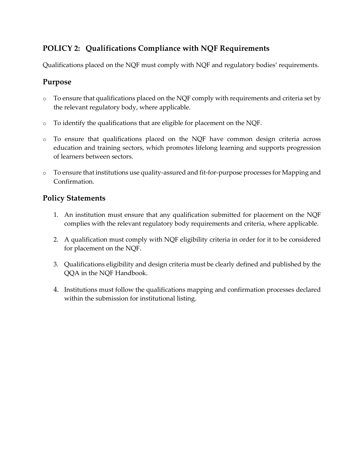## **POLICY 2: Qualifications Compliance with NQF Requirements**

Qualifications placed on the NQF must comply with NQF and regulatory bodies' requirements.

#### **Purpose**

- o To ensure that qualifications placed on the NQF comply with requirements and criteria set by the relevant regulatory body, where applicable.
- o To identify the qualifications that are eligible for placement on the NQF.
- o To ensure that qualifications placed on the NQF have common design criteria across education and training sectors, which promotes lifelong learning and supports progression of learners between sectors.
- o To ensure that institutions use quality-assured and fit-for-purpose processes for Mapping and Confirmation.

- 1. An institution must ensure that any qualification submitted for placement on the NQF complies with the relevant regulatory body requirements and criteria, where applicable.
- 2. A qualification must comply with NQF eligibility criteria in order for it to be considered for placement on the NQF.
- 3. Qualifications eligibility and design criteria must be clearly defined and published by the QQA in the NQF Handbook.
- 4. Institutions must follow the qualifications mapping and confirmation processes declared within the submission for institutional listing.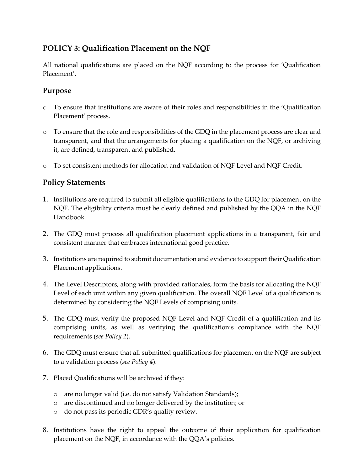## **POLICY 3: Qualification Placement on the NQF**

All national qualifications are placed on the NQF according to the process for 'Qualification Placement'.

## **Purpose**

- o To ensure that institutions are aware of their roles and responsibilities in the 'Qualification Placement' process.
- o To ensure that the role and responsibilities of the GDQ in the placement process are clear and transparent, and that the arrangements for placing a qualification on the NQF, or archiving it, are defined, transparent and published.
- o To set consistent methods for allocation and validation of NQF Level and NQF Credit.

- 1. Institutions are required to submit all eligible qualifications to the GDQ for placement on the NQF. The eligibility criteria must be clearly defined and published by the QQA in the NQF Handbook.
- 2. The GDQ must process all qualification placement applications in a transparent, fair and consistent manner that embraces international good practice.
- 3. Institutions are required to submit documentation and evidence to support their Qualification Placement applications.
- 4. The Level Descriptors, along with provided rationales, form the basis for allocating the NQF Level of each unit within any given qualification. The overall NQF Level of a qualification is determined by considering the NQF Levels of comprising units.
- 5. The GDQ must verify the proposed NQF Level and NQF Credit of a qualification and its comprising units, as well as verifying the qualification's compliance with the NQF requirements (*see Policy 2*).
- 6. The GDQ must ensure that all submitted qualifications for placement on the NQF are subject to a validation process (*see Policy 4*).
- 7. Placed Qualifications will be archived if they:
	- o are no longer valid (i.e. do not satisfy Validation Standards);
	- o are discontinued and no longer delivered by the institution; or
	- o do not pass its periodic GDR's quality review.
- 8. Institutions have the right to appeal the outcome of their application for qualification placement on the NQF, in accordance with the QQA's policies.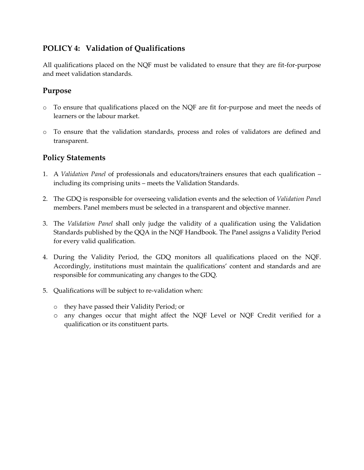## **POLICY 4: Validation of Qualifications**

All qualifications placed on the NQF must be validated to ensure that they are fit-for-purpose and meet validation standards.

## **Purpose**

- o To ensure that qualifications placed on the NQF are fit for-purpose and meet the needs of learners or the labour market.
- o To ensure that the validation standards, process and roles of validators are defined and transparent.

- 1. A *Validation Panel* of professionals and educators/trainers ensures that each qualification including its comprising units – meets the Validation Standards.
- 2. The GDQ is responsible for overseeing validation events and the selection of *Validation Pane*l members. Panel members must be selected in a transparent and objective manner.
- 3. The *Validation Panel* shall only judge the validity of a qualification using the Validation Standards published by the QQA in the NQF Handbook. The Panel assigns a Validity Period for every valid qualification.
- 4. During the Validity Period, the GDQ monitors all qualifications placed on the NQF. Accordingly, institutions must maintain the qualifications' content and standards and are responsible for communicating any changes to the GDQ.
- 5. Qualifications will be subject to re-validation when:
	- o they have passed their Validity Period; or
	- o any changes occur that might affect the NQF Level or NQF Credit verified for a qualification or its constituent parts.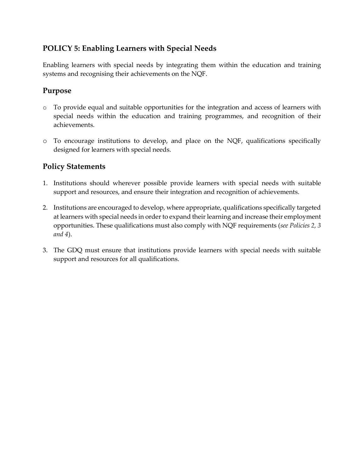## **POLICY 5: Enabling Learners with Special Needs**

Enabling learners with special needs by integrating them within the education and training systems and recognising their achievements on the NQF.

#### **Purpose**

- o To provide equal and suitable opportunities for the integration and access of learners with special needs within the education and training programmes, and recognition of their achievements.
- o To encourage institutions to develop, and place on the NQF, qualifications specifically designed for learners with special needs.

- 1. Institutions should wherever possible provide learners with special needs with suitable support and resources, and ensure their integration and recognition of achievements.
- 2. Institutions are encouraged to develop, where appropriate, qualifications specifically targeted at learners with special needs in order to expand their learning and increase their employment opportunities. These qualifications must also comply with NQF requirements (*see Policies 2, 3 and 4*).
- 3. The GDQ must ensure that institutions provide learners with special needs with suitable support and resources for all qualifications.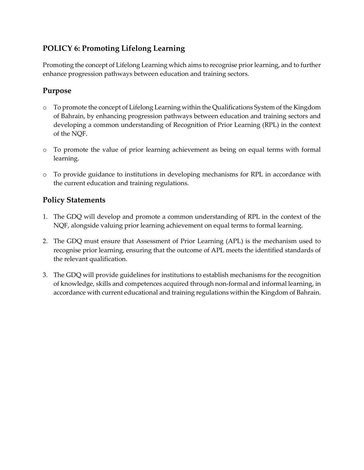## **POLICY 6: Promoting Lifelong Learning**

Promoting the concept of Lifelong Learning which aims to recognise prior learning, and to further enhance progression pathways between education and training sectors.

## **Purpose**

- o To promote the concept of Lifelong Learning within the Qualifications System of the Kingdom of Bahrain, by enhancing progression pathways between education and training sectors and developing a common understanding of Recognition of Prior Learning (RPL) in the context of the NQF.
- o To promote the value of prior learning achievement as being on equal terms with formal learning.
- o To provide guidance to institutions in developing mechanisms for RPL in accordance with the current education and training regulations.

- 1. The GDQ will develop and promote a common understanding of RPL in the context of the NQF, alongside valuing prior learning achievement on equal terms to formal learning.
- 2. The GDQ must ensure that Assessment of Prior Learning (APL) is the mechanism used to recognise prior learning, ensuring that the outcome of APL meets the identified standards of the relevant qualification.
- 3. The GDQ will provide guidelines for institutions to establish mechanisms for the recognition of knowledge, skills and competences acquired through non-formal and informal learning, in accordance with current educational and training regulations within the Kingdom of Bahrain.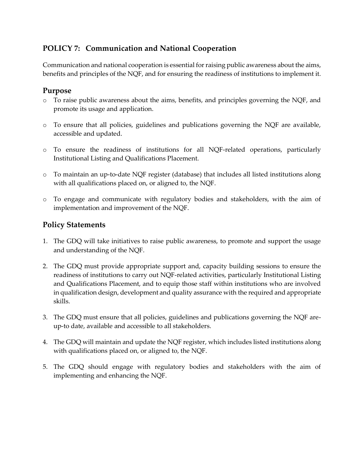## **POLICY 7: Communication and National Cooperation**

Communication and national cooperation is essential forraising public awareness about the aims, benefits and principles of the NQF, and for ensuring the readiness of institutions to implement it.

## **Purpose**

- o To raise public awareness about the aims, benefits, and principles governing the NQF, and promote its usage and application.
- o To ensure that all policies, guidelines and publications governing the NQF are available, accessible and updated.
- o To ensure the readiness of institutions for all NQF-related operations, particularly Institutional Listing and Qualifications Placement.
- o To maintain an up-to-date NQF register (database) that includes all listed institutions along with all qualifications placed on, or aligned to, the NQF.
- o To engage and communicate with regulatory bodies and stakeholders, with the aim of implementation and improvement of the NQF.

- 1. The GDQ will take initiatives to raise public awareness, to promote and support the usage and understanding of the NQF.
- 2. The GDQ must provide appropriate support and, capacity building sessions to ensure the readiness of institutions to carry out NQF-related activities, particularly Institutional Listing and Qualifications Placement, and to equip those staff within institutions who are involved in qualification design, development and quality assurance with the required and appropriate skills.
- 3. The GDQ must ensure that all policies, guidelines and publications governing the NQF areup-to date, available and accessible to all stakeholders.
- 4. The GDQ will maintain and update the NQF register, which includes listed institutions along with qualifications placed on, or aligned to, the NQF.
- 5. The GDQ should engage with regulatory bodies and stakeholders with the aim of implementing and enhancing the NQF.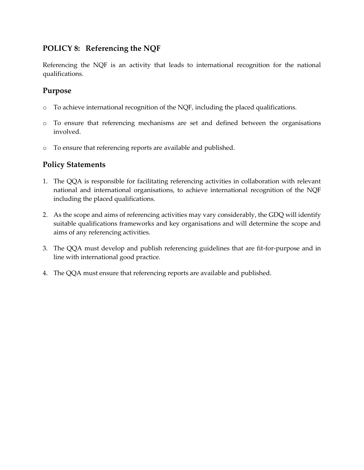## **POLICY 8: Referencing the NQF**

Referencing the NQF is an activity that leads to international recognition for the national qualifications.

## **Purpose**

- o To achieve international recognition of the NQF, including the placed qualifications.
- o To ensure that referencing mechanisms are set and defined between the organisations involved.
- o To ensure that referencing reports are available and published.

- 1. The QQA is responsible for facilitating referencing activities in collaboration with relevant national and international organisations, to achieve international recognition of the NQF including the placed qualifications.
- 2. As the scope and aims of referencing activities may vary considerably, the GDQ will identify suitable qualifications frameworks and key organisations and will determine the scope and aims of any referencing activities.
- 3. The QQA must develop and publish referencing guidelines that are fit-for-purpose and in line with international good practice.
- 4. The QQA must ensure that referencing reports are available and published.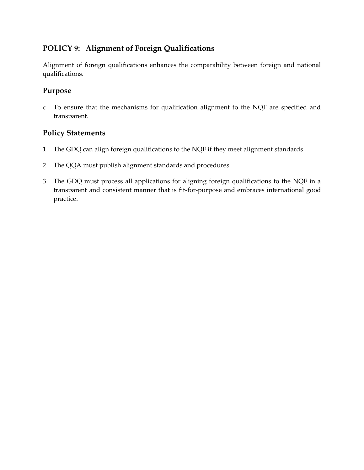## **POLICY 9: Alignment of Foreign Qualifications**

Alignment of foreign qualifications enhances the comparability between foreign and national qualifications.

## **Purpose**

o To ensure that the mechanisms for qualification alignment to the NQF are specified and transparent.

- 1. The GDQ can align foreign qualifications to the NQF if they meet alignment standards.
- 2. The QQA must publish alignment standards and procedures.
- 3. The GDQ must process all applications for aligning foreign qualifications to the NQF in a transparent and consistent manner that is fit-for-purpose and embraces international good practice.